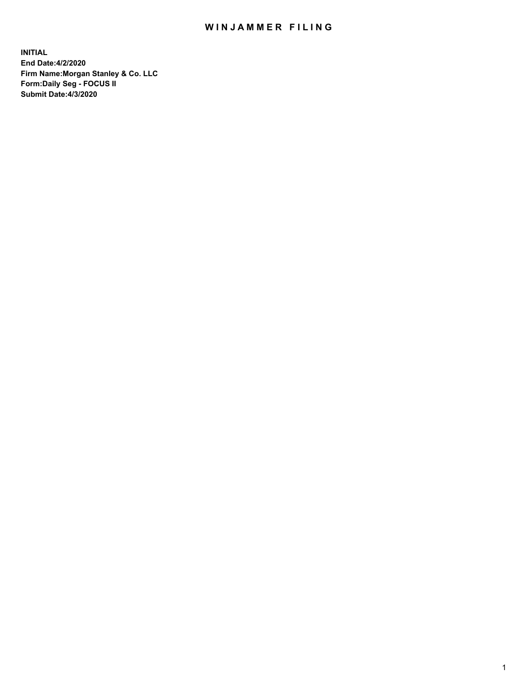## WIN JAMMER FILING

**INITIAL End Date:4/2/2020 Firm Name:Morgan Stanley & Co. LLC Form:Daily Seg - FOCUS II Submit Date:4/3/2020**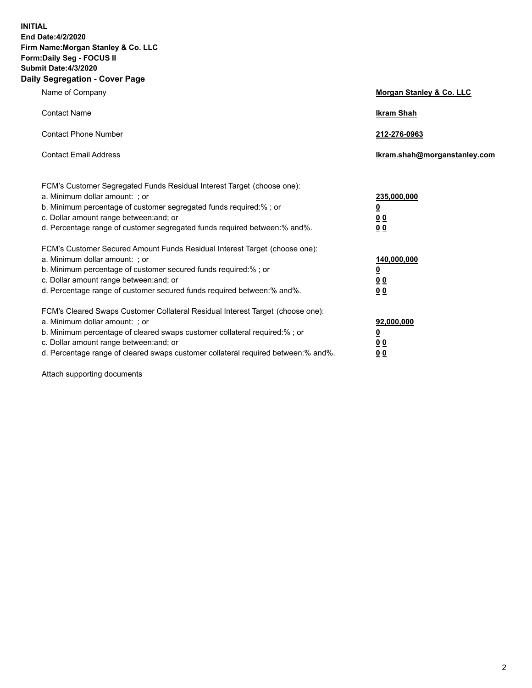**INITIAL End Date:4/2/2020 Firm Name:Morgan Stanley & Co. LLC Form:Daily Seg - FOCUS II Submit Date:4/3/2020 Daily Segregation - Cover Page**

| Name of Company                                                                                                                                                                                                                                                                                                                | Morgan Stanley & Co. LLC                        |
|--------------------------------------------------------------------------------------------------------------------------------------------------------------------------------------------------------------------------------------------------------------------------------------------------------------------------------|-------------------------------------------------|
| <b>Contact Name</b>                                                                                                                                                                                                                                                                                                            | <b>Ikram Shah</b>                               |
| <b>Contact Phone Number</b>                                                                                                                                                                                                                                                                                                    | 212-276-0963                                    |
| <b>Contact Email Address</b>                                                                                                                                                                                                                                                                                                   | Ikram.shah@morganstanley.com                    |
| FCM's Customer Segregated Funds Residual Interest Target (choose one):<br>a. Minimum dollar amount: ; or<br>b. Minimum percentage of customer segregated funds required:%; or<br>c. Dollar amount range between: and; or<br>d. Percentage range of customer segregated funds required between:% and%.                          | 235,000,000<br><u>0</u><br><u>00</u><br>0 Q     |
| FCM's Customer Secured Amount Funds Residual Interest Target (choose one):<br>a. Minimum dollar amount: ; or<br>b. Minimum percentage of customer secured funds required:%; or<br>c. Dollar amount range between: and; or<br>d. Percentage range of customer secured funds required between: % and %.                          | 140,000,000<br><u>0</u><br><u>0 0</u><br>0 Q    |
| FCM's Cleared Swaps Customer Collateral Residual Interest Target (choose one):<br>a. Minimum dollar amount: ; or<br>b. Minimum percentage of cleared swaps customer collateral required:% ; or<br>c. Dollar amount range between: and; or<br>d. Percentage range of cleared swaps customer collateral required between:% and%. | 92,000,000<br><u>0</u><br>0 Q<br>0 <sub>0</sub> |

Attach supporting documents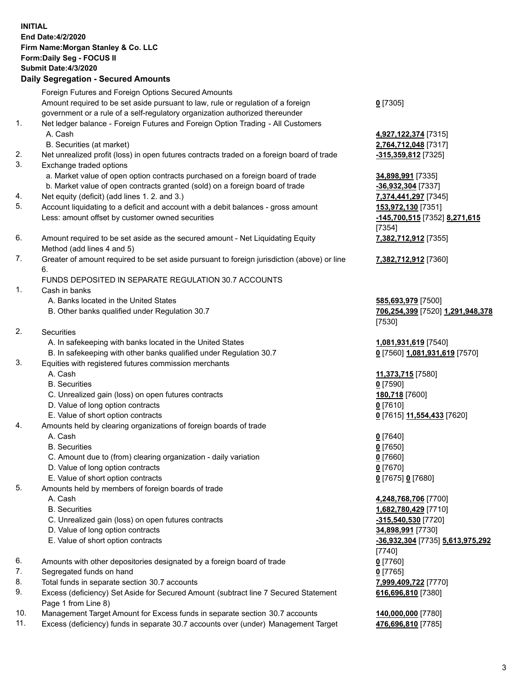| <b>INITIAL</b> | End Date: 4/2/2020<br>Firm Name: Morgan Stanley & Co. LLC<br>Form: Daily Seg - FOCUS II<br><b>Submit Date: 4/3/2020</b><br><b>Daily Segregation - Secured Amounts</b>                                                                                                                                                                                   |                                                                                                                          |
|----------------|---------------------------------------------------------------------------------------------------------------------------------------------------------------------------------------------------------------------------------------------------------------------------------------------------------------------------------------------------------|--------------------------------------------------------------------------------------------------------------------------|
|                | Foreign Futures and Foreign Options Secured Amounts<br>Amount required to be set aside pursuant to law, rule or regulation of a foreign<br>government or a rule of a self-regulatory organization authorized thereunder                                                                                                                                 | $0$ [7305]                                                                                                               |
| 1.             | Net ledger balance - Foreign Futures and Foreign Option Trading - All Customers<br>A. Cash<br>B. Securities (at market)                                                                                                                                                                                                                                 | 4,927,122,374 [7315]<br>2,764,712,048 [7317]                                                                             |
| 2.<br>3.       | Net unrealized profit (loss) in open futures contracts traded on a foreign board of trade<br>Exchange traded options                                                                                                                                                                                                                                    | -315,359,812 [7325]                                                                                                      |
| 4.<br>5.       | a. Market value of open option contracts purchased on a foreign board of trade<br>b. Market value of open contracts granted (sold) on a foreign board of trade<br>Net equity (deficit) (add lines 1.2. and 3.)<br>Account liquidating to a deficit and account with a debit balances - gross amount<br>Less: amount offset by customer owned securities | 34,898,991 [7335]<br>$-36,932,304$ [7337]<br>7,374,441,297 [7345]<br>153,972,130 [7351]<br>-145,700,515 [7352] 8,271,615 |
| 6.             | Amount required to be set aside as the secured amount - Net Liquidating Equity                                                                                                                                                                                                                                                                          | [7354]<br>7,382,712,912 [7355]                                                                                           |
| 7.             | Method (add lines 4 and 5)<br>Greater of amount required to be set aside pursuant to foreign jurisdiction (above) or line<br>6.                                                                                                                                                                                                                         | 7,382,712,912 [7360]                                                                                                     |
| 1.             | FUNDS DEPOSITED IN SEPARATE REGULATION 30.7 ACCOUNTS<br>Cash in banks                                                                                                                                                                                                                                                                                   |                                                                                                                          |
|                | A. Banks located in the United States<br>B. Other banks qualified under Regulation 30.7                                                                                                                                                                                                                                                                 | 585,693,979 [7500]<br>706,254,399 [7520] 1,291,948,378<br>[7530]                                                         |
| 2.             | <b>Securities</b><br>A. In safekeeping with banks located in the United States                                                                                                                                                                                                                                                                          | 1,081,931,619 [7540]                                                                                                     |
| 3.             | B. In safekeeping with other banks qualified under Regulation 30.7<br>Equities with registered futures commission merchants                                                                                                                                                                                                                             | 0 [7560] 1,081,931,619 [7570]                                                                                            |
|                | A. Cash<br><b>B.</b> Securities                                                                                                                                                                                                                                                                                                                         | 11,373,715 [7580]<br>$0$ [7590]                                                                                          |
|                | C. Unrealized gain (loss) on open futures contracts<br>D. Value of long option contracts                                                                                                                                                                                                                                                                | 180,718 [7600]<br>$0$ [7610]                                                                                             |
| 4.             | E. Value of short option contracts<br>Amounts held by clearing organizations of foreign boards of trade<br>A. Cash                                                                                                                                                                                                                                      | 0 [7615] 11,554,433 [7620]<br>$0$ [7640]                                                                                 |
|                | <b>B.</b> Securities<br>C. Amount due to (from) clearing organization - daily variation<br>D. Value of long option contracts                                                                                                                                                                                                                            | $0$ [7650]<br>$0$ [7660]<br>$0$ [7670]                                                                                   |
| 5.             | E. Value of short option contracts<br>Amounts held by members of foreign boards of trade<br>A. Cash                                                                                                                                                                                                                                                     | $0$ [7675] $0$ [7680]<br>4,248,768,706 [7700]                                                                            |
|                | <b>B.</b> Securities<br>C. Unrealized gain (loss) on open futures contracts<br>D. Value of long option contracts                                                                                                                                                                                                                                        | 1,682,780,429 [7710]<br>-315,540,530 [7720]<br>34,898,991 [7730]                                                         |
|                | E. Value of short option contracts                                                                                                                                                                                                                                                                                                                      | -36,932,304 [7735] 5,613,975,292<br>[7740]                                                                               |
| 6.<br>7.       | Amounts with other depositories designated by a foreign board of trade<br>Segregated funds on hand                                                                                                                                                                                                                                                      | $0$ [7760]<br>$0$ [7765]                                                                                                 |
| 8.<br>9.       | Total funds in separate section 30.7 accounts<br>Excess (deficiency) Set Aside for Secured Amount (subtract line 7 Secured Statement<br>Page 1 from Line 8)                                                                                                                                                                                             | 7,999,409,722 [7770]<br>616,696,810 [7380]                                                                               |
| 10.<br>11.     | Management Target Amount for Excess funds in separate section 30.7 accounts<br>Excess (deficiency) funds in separate 30.7 accounts over (under) Management Target                                                                                                                                                                                       | 140,000,000 [7780]<br>476,696,810 [7785]                                                                                 |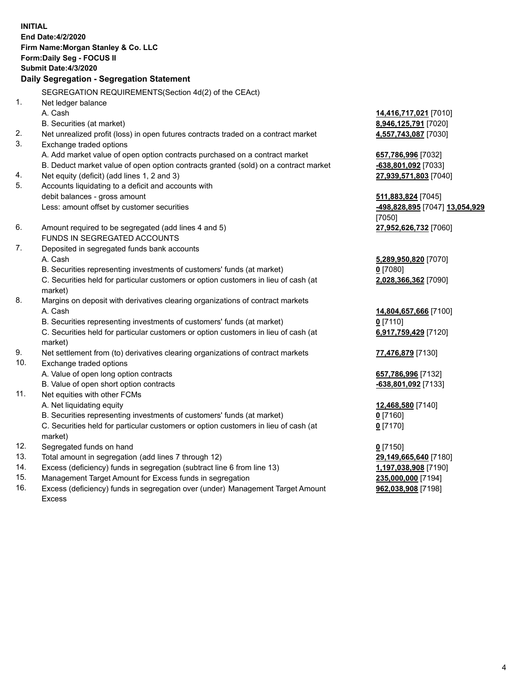**INITIAL End Date:4/2/2020 Firm Name:Morgan Stanley & Co. LLC Form:Daily Seg - FOCUS II Submit Date:4/3/2020 Daily Segregation - Segregation Statement** SEGREGATION REQUIREMENTS(Section 4d(2) of the CEAct) 1. Net ledger balance A. Cash **14,416,717,021** [7010] B. Securities (at market) **8,946,125,791** [7020] 2. Net unrealized profit (loss) in open futures contracts traded on a contract market **4,557,743,087** [7030] 3. Exchange traded options A. Add market value of open option contracts purchased on a contract market **657,786,996** [7032] B. Deduct market value of open option contracts granted (sold) on a contract market **-638,801,092** [7033] 4. Net equity (deficit) (add lines 1, 2 and 3) **27,939,571,803** [7040] 5. Accounts liquidating to a deficit and accounts with debit balances - gross amount **511,883,824** [7045] Less: amount offset by customer securities **-498,828,895** [7047] **13,054,929** [7050] 6. Amount required to be segregated (add lines 4 and 5) **27,952,626,732** [7060] FUNDS IN SEGREGATED ACCOUNTS 7. Deposited in segregated funds bank accounts A. Cash **5,289,950,820** [7070] B. Securities representing investments of customers' funds (at market) **0** [7080] C. Securities held for particular customers or option customers in lieu of cash (at market) **2,028,366,362** [7090] 8. Margins on deposit with derivatives clearing organizations of contract markets A. Cash **14,804,657,666** [7100] B. Securities representing investments of customers' funds (at market) **0** [7110] C. Securities held for particular customers or option customers in lieu of cash (at market) **6,917,759,429** [7120] 9. Net settlement from (to) derivatives clearing organizations of contract markets **77,476,879** [7130] 10. Exchange traded options A. Value of open long option contracts **657,786,996** [7132] B. Value of open short option contracts **-638,801,092** [7133] 11. Net equities with other FCMs A. Net liquidating equity **12,468,580** [7140] B. Securities representing investments of customers' funds (at market) **0** [7160] C. Securities held for particular customers or option customers in lieu of cash (at market) **0** [7170] 12. Segregated funds on hand **0** [7150] 13. Total amount in segregation (add lines 7 through 12) **29,149,665,640** [7180] 14. Excess (deficiency) funds in segregation (subtract line 6 from line 13) **1,197,038,908** [7190]

- 15. Management Target Amount for Excess funds in segregation **235,000,000** [7194]
- 16. Excess (deficiency) funds in segregation over (under) Management Target Amount Excess

**962,038,908** [7198]